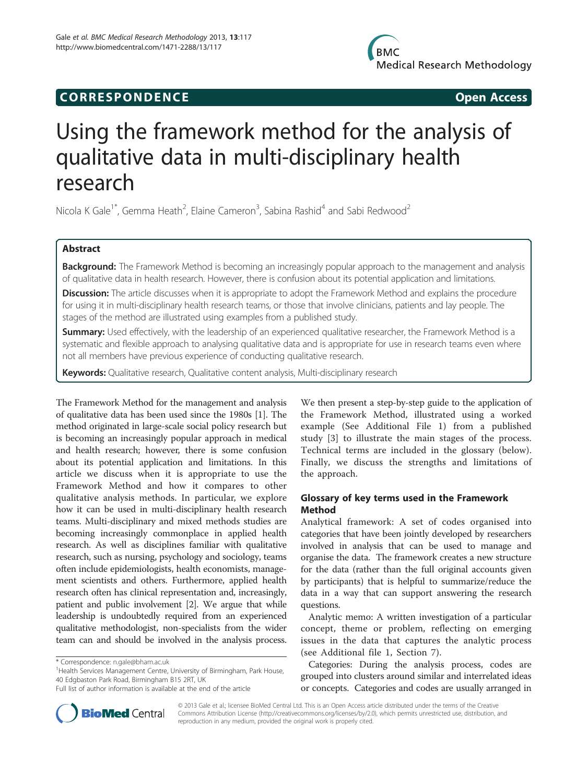## **CORRESPONDENCE CORRESPONDENCE**

# Using the framework method for the analysis of qualitative data in multi-disciplinary health research

Nicola K Gale<sup>1\*</sup>, Gemma Heath<sup>2</sup>, Elaine Cameron<sup>3</sup>, Sabina Rashid<sup>4</sup> and Sabi Redwood<sup>2</sup>

## Abstract

Background: The Framework Method is becoming an increasingly popular approach to the management and analysis of qualitative data in health research. However, there is confusion about its potential application and limitations.

Discussion: The article discusses when it is appropriate to adopt the Framework Method and explains the procedure for using it in multi-disciplinary health research teams, or those that involve clinicians, patients and lay people. The stages of the method are illustrated using examples from a published study.

Summary: Used effectively, with the leadership of an experienced qualitative researcher, the Framework Method is a systematic and flexible approach to analysing qualitative data and is appropriate for use in research teams even where not all members have previous experience of conducting qualitative research.

Keywords: Qualitative research, Qualitative content analysis, Multi-disciplinary research

The Framework Method for the management and analysis of qualitative data has been used since the 1980s [\[1](#page-6-0)]. The method originated in large-scale social policy research but is becoming an increasingly popular approach in medical and health research; however, there is some confusion about its potential application and limitations. In this article we discuss when it is appropriate to use the Framework Method and how it compares to other qualitative analysis methods. In particular, we explore how it can be used in multi-disciplinary health research teams. Multi-disciplinary and mixed methods studies are becoming increasingly commonplace in applied health research. As well as disciplines familiar with qualitative research, such as nursing, psychology and sociology, teams often include epidemiologists, health economists, management scientists and others. Furthermore, applied health research often has clinical representation and, increasingly, patient and public involvement [\[2](#page-6-0)]. We argue that while leadership is undoubtedly required from an experienced qualitative methodologist, non-specialists from the wider team can and should be involved in the analysis process.

We then present a step-by-step guide to the application of the Framework Method, illustrated using a worked example (See Additional File [1](#page-6-0)) from a published study [[3\]](#page-6-0) to illustrate the main stages of the process. Technical terms are included in the glossary (below). Finally, we discuss the strengths and limitations of the approach.

## Glossary of key terms used in the Framework Method

Analytical framework: A set of codes organised into categories that have been jointly developed by researchers involved in analysis that can be used to manage and organise the data. The framework creates a new structure for the data (rather than the full original accounts given by participants) that is helpful to summarize/reduce the data in a way that can support answering the research questions.

Analytic memo: A written investigation of a particular concept, theme or problem, reflecting on emerging issues in the data that captures the analytic process (see Additional file [1](#page-6-0), Section [7\)](#page-4-0).

Categories: During the analysis process, codes are grouped into clusters around similar and interrelated ideas or concepts. Categories and codes are usually arranged in



© 2013 Gale et al.; licensee BioMed Central Ltd. This is an Open Access article distributed under the terms of the Creative Commons Attribution License [\(http://creativecommons.org/licenses/by/2.0\)](http://creativecommons.org/licenses/by/2.0), which permits unrestricted use, distribution, and reproduction in any medium, provided the original work is properly cited.

<sup>\*</sup> Correspondence: [n.gale@bham.ac.uk](mailto:n.gale@bham.ac.uk) <sup>1</sup>

<sup>&</sup>lt;sup>1</sup> Health Services Management Centre, University of Birmingham, Park House, 40 Edgbaston Park Road, Birmingham B15 2RT, UK

Full list of author information is available at the end of the article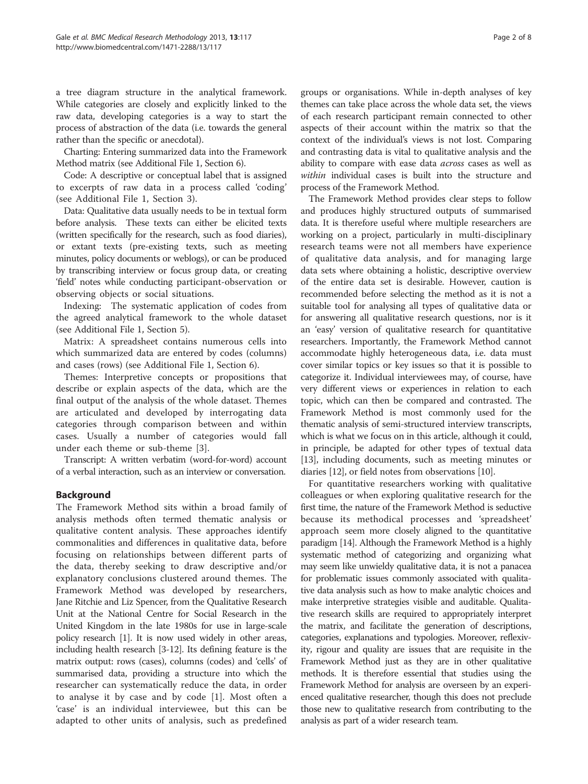a tree diagram structure in the analytical framework. While categories are closely and explicitly linked to the raw data, developing categories is a way to start the process of abstraction of the data (i.e. towards the general rather than the specific or anecdotal).

Charting: Entering summarized data into the Framework Method matrix (see Additional File [1,](#page-6-0) Section [6](#page-4-0)).

Code: A descriptive or conceptual label that is assigned to excerpts of raw data in a process called 'coding' (see Additional File [1,](#page-6-0) Section [3](#page-3-0)).

Data: Qualitative data usually needs to be in textual form before analysis. These texts can either be elicited texts (written specifically for the research, such as food diaries), or extant texts (pre-existing texts, such as meeting minutes, policy documents or weblogs), or can be produced by transcribing interview or focus group data, or creating 'field' notes while conducting participant-observation or observing objects or social situations.

Indexing: The systematic application of codes from the agreed analytical framework to the whole dataset (see Additional File [1,](#page-6-0) Section [5](#page-4-0)).

Matrix: A spreadsheet contains numerous cells into which summarized data are entered by codes (columns) and cases (rows) (see Additional File [1](#page-6-0), Section [6\)](#page-4-0).

Themes: Interpretive concepts or propositions that describe or explain aspects of the data, which are the final output of the analysis of the whole dataset. Themes are articulated and developed by interrogating data categories through comparison between and within cases. Usually a number of categories would fall under each theme or sub-theme [[3\]](#page-6-0).

Transcript: A written verbatim (word-for-word) account of a verbal interaction, such as an interview or conversation.

## Background

The Framework Method sits within a broad family of analysis methods often termed thematic analysis or qualitative content analysis. These approaches identify commonalities and differences in qualitative data, before focusing on relationships between different parts of the data, thereby seeking to draw descriptive and/or explanatory conclusions clustered around themes. The Framework Method was developed by researchers, Jane Ritchie and Liz Spencer, from the Qualitative Research Unit at the National Centre for Social Research in the United Kingdom in the late 1980s for use in large-scale policy research [\[1\]](#page-6-0). It is now used widely in other areas, including health research [[3](#page-6-0)-[12](#page-6-0)]. Its defining feature is the matrix output: rows (cases), columns (codes) and 'cells' of summarised data, providing a structure into which the researcher can systematically reduce the data, in order to analyse it by case and by code [\[1](#page-6-0)]. Most often a 'case' is an individual interviewee, but this can be adapted to other units of analysis, such as predefined

groups or organisations. While in-depth analyses of key themes can take place across the whole data set, the views of each research participant remain connected to other aspects of their account within the matrix so that the context of the individual's views is not lost. Comparing and contrasting data is vital to qualitative analysis and the ability to compare with ease data across cases as well as within individual cases is built into the structure and process of the Framework Method.

The Framework Method provides clear steps to follow and produces highly structured outputs of summarised data. It is therefore useful where multiple researchers are working on a project, particularly in multi-disciplinary research teams were not all members have experience of qualitative data analysis, and for managing large data sets where obtaining a holistic, descriptive overview of the entire data set is desirable. However, caution is recommended before selecting the method as it is not a suitable tool for analysing all types of qualitative data or for answering all qualitative research questions, nor is it an 'easy' version of qualitative research for quantitative researchers. Importantly, the Framework Method cannot accommodate highly heterogeneous data, i.e. data must cover similar topics or key issues so that it is possible to categorize it. Individual interviewees may, of course, have very different views or experiences in relation to each topic, which can then be compared and contrasted. The Framework Method is most commonly used for the thematic analysis of semi-structured interview transcripts, which is what we focus on in this article, although it could, in principle, be adapted for other types of textual data [[13](#page-6-0)], including documents, such as meeting minutes or diaries [\[12](#page-6-0)], or field notes from observations [\[10\]](#page-6-0).

For quantitative researchers working with qualitative colleagues or when exploring qualitative research for the first time, the nature of the Framework Method is seductive because its methodical processes and 'spreadsheet' approach seem more closely aligned to the quantitative paradigm [\[14\]](#page-6-0). Although the Framework Method is a highly systematic method of categorizing and organizing what may seem like unwieldy qualitative data, it is not a panacea for problematic issues commonly associated with qualitative data analysis such as how to make analytic choices and make interpretive strategies visible and auditable. Qualitative research skills are required to appropriately interpret the matrix, and facilitate the generation of descriptions, categories, explanations and typologies. Moreover, reflexivity, rigour and quality are issues that are requisite in the Framework Method just as they are in other qualitative methods. It is therefore essential that studies using the Framework Method for analysis are overseen by an experienced qualitative researcher, though this does not preclude those new to qualitative research from contributing to the analysis as part of a wider research team.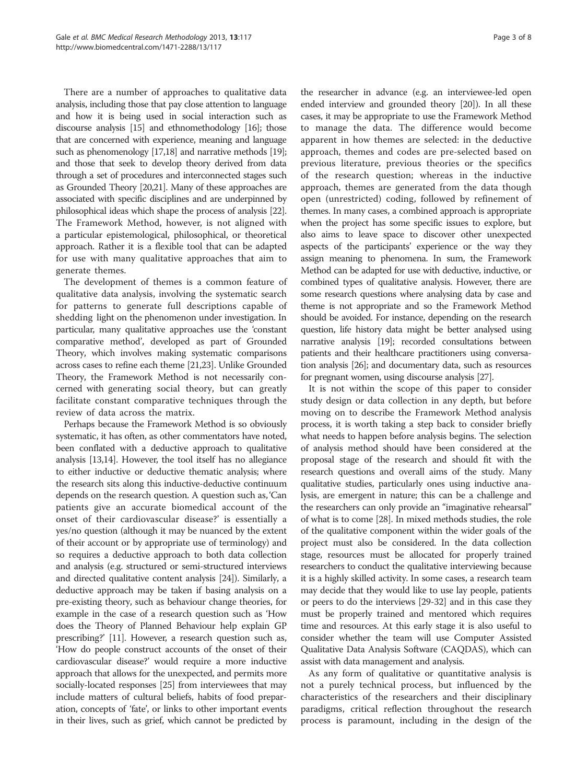There are a number of approaches to qualitative data analysis, including those that pay close attention to language and how it is being used in social interaction such as discourse analysis [\[15\]](#page-6-0) and ethnomethodology [\[16](#page-6-0)]; those that are concerned with experience, meaning and language such as phenomenology [\[17,18\]](#page-6-0) and narrative methods [\[19](#page-6-0)]; and those that seek to develop theory derived from data through a set of procedures and interconnected stages such as Grounded Theory [\[20,21](#page-6-0)]. Many of these approaches are associated with specific disciplines and are underpinned by philosophical ideas which shape the process of analysis [\[22](#page-6-0)]. The Framework Method, however, is not aligned with a particular epistemological, philosophical, or theoretical approach. Rather it is a flexible tool that can be adapted for use with many qualitative approaches that aim to generate themes.

The development of themes is a common feature of qualitative data analysis, involving the systematic search for patterns to generate full descriptions capable of shedding light on the phenomenon under investigation. In particular, many qualitative approaches use the 'constant comparative method', developed as part of Grounded Theory, which involves making systematic comparisons across cases to refine each theme [[21,23\]](#page-6-0). Unlike Grounded Theory, the Framework Method is not necessarily concerned with generating social theory, but can greatly facilitate constant comparative techniques through the review of data across the matrix.

Perhaps because the Framework Method is so obviously systematic, it has often, as other commentators have noted, been conflated with a deductive approach to qualitative analysis [\[13,14\]](#page-6-0). However, the tool itself has no allegiance to either inductive or deductive thematic analysis; where the research sits along this inductive-deductive continuum depends on the research question. A question such as, 'Can patients give an accurate biomedical account of the onset of their cardiovascular disease?' is essentially a yes/no question (although it may be nuanced by the extent of their account or by appropriate use of terminology) and so requires a deductive approach to both data collection and analysis (e.g. structured or semi-structured interviews and directed qualitative content analysis [\[24](#page-6-0)]). Similarly, a deductive approach may be taken if basing analysis on a pre-existing theory, such as behaviour change theories, for example in the case of a research question such as 'How does the Theory of Planned Behaviour help explain GP prescribing?' [\[11\]](#page-6-0). However, a research question such as, 'How do people construct accounts of the onset of their cardiovascular disease?' would require a more inductive approach that allows for the unexpected, and permits more socially-located responses [[25](#page-6-0)] from interviewees that may include matters of cultural beliefs, habits of food preparation, concepts of 'fate', or links to other important events in their lives, such as grief, which cannot be predicted by

the researcher in advance (e.g. an interviewee-led open ended interview and grounded theory [\[20\]](#page-6-0)). In all these cases, it may be appropriate to use the Framework Method to manage the data. The difference would become apparent in how themes are selected: in the deductive approach, themes and codes are pre-selected based on previous literature, previous theories or the specifics of the research question; whereas in the inductive approach, themes are generated from the data though open (unrestricted) coding, followed by refinement of themes. In many cases, a combined approach is appropriate when the project has some specific issues to explore, but also aims to leave space to discover other unexpected aspects of the participants' experience or the way they assign meaning to phenomena. In sum, the Framework Method can be adapted for use with deductive, inductive, or combined types of qualitative analysis. However, there are some research questions where analysing data by case and theme is not appropriate and so the Framework Method should be avoided. For instance, depending on the research question, life history data might be better analysed using narrative analysis [\[19\]](#page-6-0); recorded consultations between patients and their healthcare practitioners using conversation analysis [\[26](#page-6-0)]; and documentary data, such as resources for pregnant women, using discourse analysis [\[27](#page-6-0)].

It is not within the scope of this paper to consider study design or data collection in any depth, but before moving on to describe the Framework Method analysis process, it is worth taking a step back to consider briefly what needs to happen before analysis begins. The selection of analysis method should have been considered at the proposal stage of the research and should fit with the research questions and overall aims of the study. Many qualitative studies, particularly ones using inductive analysis, are emergent in nature; this can be a challenge and the researchers can only provide an "imaginative rehearsal" of what is to come [[28](#page-6-0)]. In mixed methods studies, the role of the qualitative component within the wider goals of the project must also be considered. In the data collection stage, resources must be allocated for properly trained researchers to conduct the qualitative interviewing because it is a highly skilled activity. In some cases, a research team may decide that they would like to use lay people, patients or peers to do the interviews [\[29-32\]](#page-6-0) and in this case they must be properly trained and mentored which requires time and resources. At this early stage it is also useful to consider whether the team will use Computer Assisted Qualitative Data Analysis Software (CAQDAS), which can assist with data management and analysis.

As any form of qualitative or quantitative analysis is not a purely technical process, but influenced by the characteristics of the researchers and their disciplinary paradigms, critical reflection throughout the research process is paramount, including in the design of the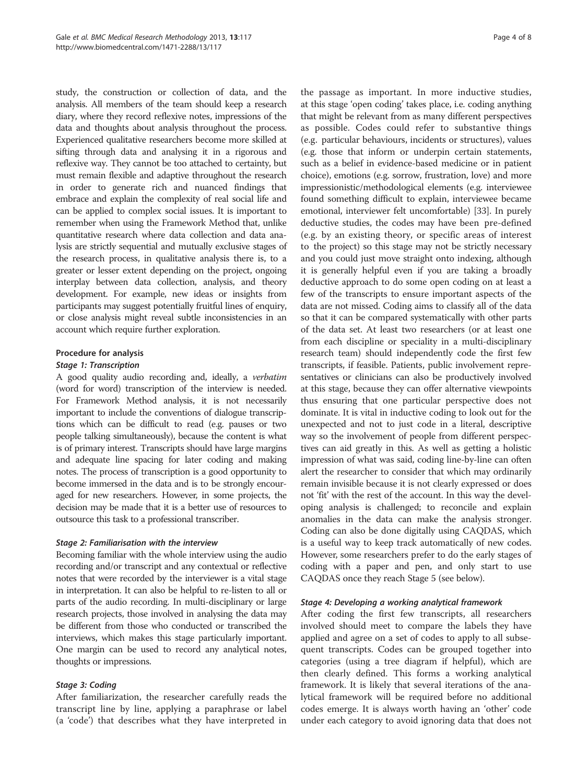<span id="page-3-0"></span>study, the construction or collection of data, and the analysis. All members of the team should keep a research diary, where they record reflexive notes, impressions of the data and thoughts about analysis throughout the process. Experienced qualitative researchers become more skilled at sifting through data and analysing it in a rigorous and reflexive way. They cannot be too attached to certainty, but must remain flexible and adaptive throughout the research in order to generate rich and nuanced findings that embrace and explain the complexity of real social life and can be applied to complex social issues. It is important to remember when using the Framework Method that, unlike quantitative research where data collection and data analysis are strictly sequential and mutually exclusive stages of the research process, in qualitative analysis there is, to a greater or lesser extent depending on the project, ongoing interplay between data collection, analysis, and theory development. For example, new ideas or insights from participants may suggest potentially fruitful lines of enquiry, or close analysis might reveal subtle inconsistencies in an account which require further exploration.

#### Procedure for analysis

#### Stage 1: Transcription

A good quality audio recording and, ideally, a verbatim (word for word) transcription of the interview is needed. For Framework Method analysis, it is not necessarily important to include the conventions of dialogue transcriptions which can be difficult to read (e.g. pauses or two people talking simultaneously), because the content is what is of primary interest. Transcripts should have large margins and adequate line spacing for later coding and making notes. The process of transcription is a good opportunity to become immersed in the data and is to be strongly encouraged for new researchers. However, in some projects, the decision may be made that it is a better use of resources to outsource this task to a professional transcriber.

#### Stage 2: Familiarisation with the interview

Becoming familiar with the whole interview using the audio recording and/or transcript and any contextual or reflective notes that were recorded by the interviewer is a vital stage in interpretation. It can also be helpful to re-listen to all or parts of the audio recording. In multi-disciplinary or large research projects, those involved in analysing the data may be different from those who conducted or transcribed the interviews, which makes this stage particularly important. One margin can be used to record any analytical notes, thoughts or impressions.

## Stage 3: Coding

After familiarization, the researcher carefully reads the transcript line by line, applying a paraphrase or label (a 'code') that describes what they have interpreted in

the passage as important. In more inductive studies, at this stage 'open coding' takes place, i.e. coding anything that might be relevant from as many different perspectives as possible. Codes could refer to substantive things (e.g. particular behaviours, incidents or structures), values (e.g. those that inform or underpin certain statements, such as a belief in evidence-based medicine or in patient choice), emotions (e.g. sorrow, frustration, love) and more impressionistic/methodological elements (e.g. interviewee found something difficult to explain, interviewee became emotional, interviewer felt uncomfortable) [\[33\]](#page-7-0). In purely deductive studies, the codes may have been pre-defined (e.g. by an existing theory, or specific areas of interest to the project) so this stage may not be strictly necessary and you could just move straight onto indexing, although it is generally helpful even if you are taking a broadly deductive approach to do some open coding on at least a few of the transcripts to ensure important aspects of the data are not missed. Coding aims to classify all of the data so that it can be compared systematically with other parts of the data set. At least two researchers (or at least one from each discipline or speciality in a multi-disciplinary research team) should independently code the first few transcripts, if feasible. Patients, public involvement representatives or clinicians can also be productively involved at this stage, because they can offer alternative viewpoints thus ensuring that one particular perspective does not dominate. It is vital in inductive coding to look out for the unexpected and not to just code in a literal, descriptive way so the involvement of people from different perspectives can aid greatly in this. As well as getting a holistic impression of what was said, coding line-by-line can often alert the researcher to consider that which may ordinarily remain invisible because it is not clearly expressed or does not 'fit' with the rest of the account. In this way the developing analysis is challenged; to reconcile and explain anomalies in the data can make the analysis stronger. Coding can also be done digitally using CAQDAS, which is a useful way to keep track automatically of new codes. However, some researchers prefer to do the early stages of coding with a paper and pen, and only start to use CAQDAS once they reach Stage 5 (see below).

#### Stage 4: Developing a working analytical framework

After coding the first few transcripts, all researchers involved should meet to compare the labels they have applied and agree on a set of codes to apply to all subsequent transcripts. Codes can be grouped together into categories (using a tree diagram if helpful), which are then clearly defined. This forms a working analytical framework. It is likely that several iterations of the analytical framework will be required before no additional codes emerge. It is always worth having an 'other' code under each category to avoid ignoring data that does not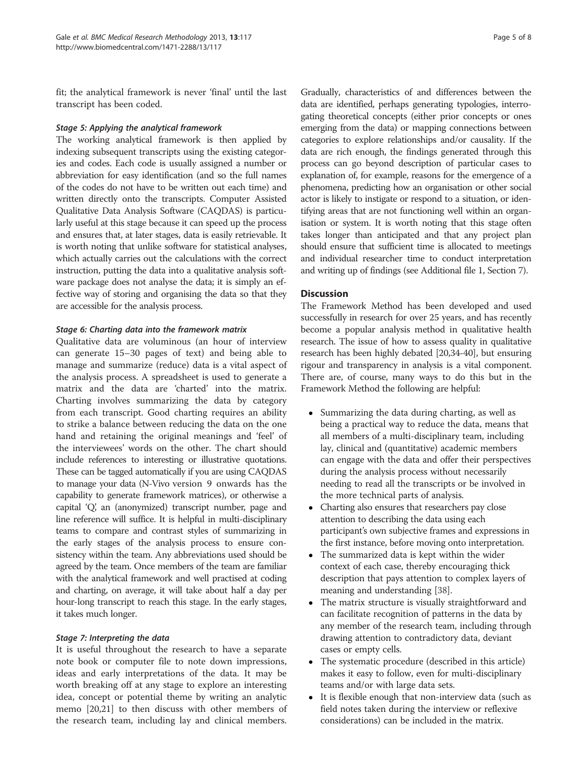<span id="page-4-0"></span>fit; the analytical framework is never 'final' until the last transcript has been coded.

#### Stage 5: Applying the analytical framework

The working analytical framework is then applied by indexing subsequent transcripts using the existing categories and codes. Each code is usually assigned a number or abbreviation for easy identification (and so the full names of the codes do not have to be written out each time) and written directly onto the transcripts. Computer Assisted Qualitative Data Analysis Software (CAQDAS) is particularly useful at this stage because it can speed up the process and ensures that, at later stages, data is easily retrievable. It is worth noting that unlike software for statistical analyses, which actually carries out the calculations with the correct instruction, putting the data into a qualitative analysis software package does not analyse the data; it is simply an effective way of storing and organising the data so that they are accessible for the analysis process.

## Stage 6: Charting data into the framework matrix

Qualitative data are voluminous (an hour of interview can generate 15–30 pages of text) and being able to manage and summarize (reduce) data is a vital aspect of the analysis process. A spreadsheet is used to generate a matrix and the data are 'charted' into the matrix. Charting involves summarizing the data by category from each transcript. Good charting requires an ability to strike a balance between reducing the data on the one hand and retaining the original meanings and 'feel' of the interviewees' words on the other. The chart should include references to interesting or illustrative quotations. These can be tagged automatically if you are using CAQDAS to manage your data (N-Vivo version 9 onwards has the capability to generate framework matrices), or otherwise a capital 'Q, an (anonymized) transcript number, page and ' line reference will suffice. It is helpful in multi-disciplinary teams to compare and contrast styles of summarizing in the early stages of the analysis process to ensure consistency within the team. Any abbreviations used should be agreed by the team. Once members of the team are familiar with the analytical framework and well practised at coding and charting, on average, it will take about half a day per hour-long transcript to reach this stage. In the early stages, it takes much longer.

## Stage 7: Interpreting the data

It is useful throughout the research to have a separate note book or computer file to note down impressions, ideas and early interpretations of the data. It may be worth breaking off at any stage to explore an interesting idea, concept or potential theme by writing an analytic memo [[20](#page-6-0),[21](#page-6-0)] to then discuss with other members of the research team, including lay and clinical members. Gradually, characteristics of and differences between the data are identified, perhaps generating typologies, interrogating theoretical concepts (either prior concepts or ones emerging from the data) or mapping connections between categories to explore relationships and/or causality. If the data are rich enough, the findings generated through this process can go beyond description of particular cases to explanation of, for example, reasons for the emergence of a phenomena, predicting how an organisation or other social actor is likely to instigate or respond to a situation, or identifying areas that are not functioning well within an organisation or system. It is worth noting that this stage often takes longer than anticipated and that any project plan should ensure that sufficient time is allocated to meetings and individual researcher time to conduct interpretation and writing up of findings (see Additional file [1](#page-6-0), Section 7).

## Discussion

The Framework Method has been developed and used successfully in research for over 25 years, and has recently become a popular analysis method in qualitative health research. The issue of how to assess quality in qualitative research has been highly debated [[20](#page-6-0)[,34](#page-7-0)-[40](#page-7-0)], but ensuring rigour and transparency in analysis is a vital component. There are, of course, many ways to do this but in the Framework Method the following are helpful:

- Summarizing the data during charting, as well as being a practical way to reduce the data, means that all members of a multi-disciplinary team, including lay, clinical and (quantitative) academic members can engage with the data and offer their perspectives during the analysis process without necessarily needing to read all the transcripts or be involved in the more technical parts of analysis.
- Charting also ensures that researchers pay close attention to describing the data using each participant's own subjective frames and expressions in the first instance, before moving onto interpretation.
- The summarized data is kept within the wider context of each case, thereby encouraging thick description that pays attention to complex layers of meaning and understanding [\[38\]](#page-7-0).
- The matrix structure is visually straightforward and can facilitate recognition of patterns in the data by any member of the research team, including through drawing attention to contradictory data, deviant cases or empty cells.
- The systematic procedure (described in this article) makes it easy to follow, even for multi-disciplinary teams and/or with large data sets.
- It is flexible enough that non-interview data (such as field notes taken during the interview or reflexive considerations) can be included in the matrix.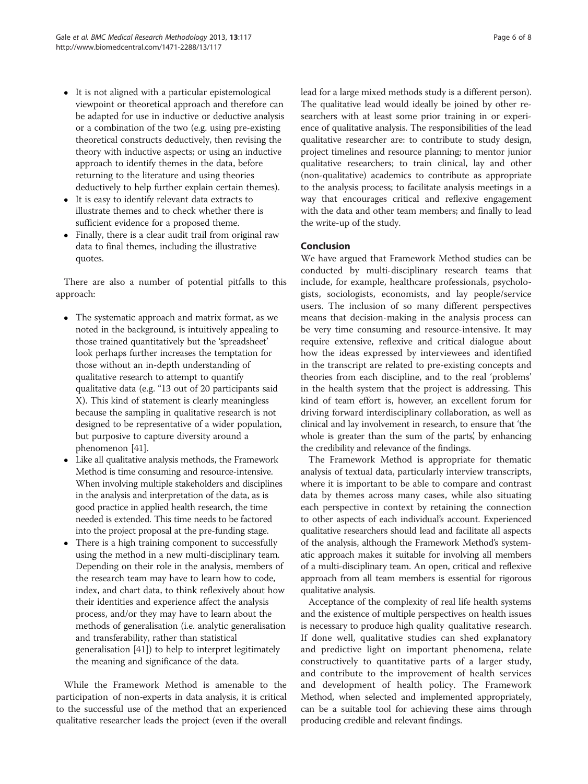- It is not aligned with a particular epistemological viewpoint or theoretical approach and therefore can be adapted for use in inductive or deductive analysis or a combination of the two (e.g. using pre-existing theoretical constructs deductively, then revising the theory with inductive aspects; or using an inductive approach to identify themes in the data, before returning to the literature and using theories deductively to help further explain certain themes).
- It is easy to identify relevant data extracts to illustrate themes and to check whether there is sufficient evidence for a proposed theme.
- Finally, there is a clear audit trail from original raw data to final themes, including the illustrative quotes.

There are also a number of potential pitfalls to this approach:

- The systematic approach and matrix format, as we noted in the background, is intuitively appealing to those trained quantitatively but the 'spreadsheet' look perhaps further increases the temptation for those without an in-depth understanding of qualitative research to attempt to quantify qualitative data (e.g. "13 out of 20 participants said X). This kind of statement is clearly meaningless because the sampling in qualitative research is not designed to be representative of a wider population, but purposive to capture diversity around a phenomenon [[41](#page-7-0)].
- Like all qualitative analysis methods, the Framework Method is time consuming and resource-intensive. When involving multiple stakeholders and disciplines in the analysis and interpretation of the data, as is good practice in applied health research, the time needed is extended. This time needs to be factored into the project proposal at the pre-funding stage.
- There is a high training component to successfully using the method in a new multi-disciplinary team. Depending on their role in the analysis, members of the research team may have to learn how to code, index, and chart data, to think reflexively about how their identities and experience affect the analysis process, and/or they may have to learn about the methods of generalisation (i.e. analytic generalisation and transferability, rather than statistical generalisation [\[41\]](#page-7-0)) to help to interpret legitimately the meaning and significance of the data.

While the Framework Method is amenable to the participation of non-experts in data analysis, it is critical to the successful use of the method that an experienced qualitative researcher leads the project (even if the overall

lead for a large mixed methods study is a different person). The qualitative lead would ideally be joined by other researchers with at least some prior training in or experience of qualitative analysis. The responsibilities of the lead qualitative researcher are: to contribute to study design, project timelines and resource planning; to mentor junior qualitative researchers; to train clinical, lay and other (non-qualitative) academics to contribute as appropriate to the analysis process; to facilitate analysis meetings in a way that encourages critical and reflexive engagement with the data and other team members; and finally to lead the write-up of the study.

## Conclusion

We have argued that Framework Method studies can be conducted by multi-disciplinary research teams that include, for example, healthcare professionals, psychologists, sociologists, economists, and lay people/service users. The inclusion of so many different perspectives means that decision-making in the analysis process can be very time consuming and resource-intensive. It may require extensive, reflexive and critical dialogue about how the ideas expressed by interviewees and identified in the transcript are related to pre-existing concepts and theories from each discipline, and to the real 'problems' in the health system that the project is addressing. This kind of team effort is, however, an excellent forum for driving forward interdisciplinary collaboration, as well as clinical and lay involvement in research, to ensure that 'the whole is greater than the sum of the parts, by enhancing the credibility and relevance of the findings.

The Framework Method is appropriate for thematic analysis of textual data, particularly interview transcripts, where it is important to be able to compare and contrast data by themes across many cases, while also situating each perspective in context by retaining the connection to other aspects of each individual's account. Experienced qualitative researchers should lead and facilitate all aspects of the analysis, although the Framework Method's systematic approach makes it suitable for involving all members of a multi-disciplinary team. An open, critical and reflexive approach from all team members is essential for rigorous qualitative analysis.

Acceptance of the complexity of real life health systems and the existence of multiple perspectives on health issues is necessary to produce high quality qualitative research. If done well, qualitative studies can shed explanatory and predictive light on important phenomena, relate constructively to quantitative parts of a larger study, and contribute to the improvement of health services and development of health policy. The Framework Method, when selected and implemented appropriately, can be a suitable tool for achieving these aims through producing credible and relevant findings.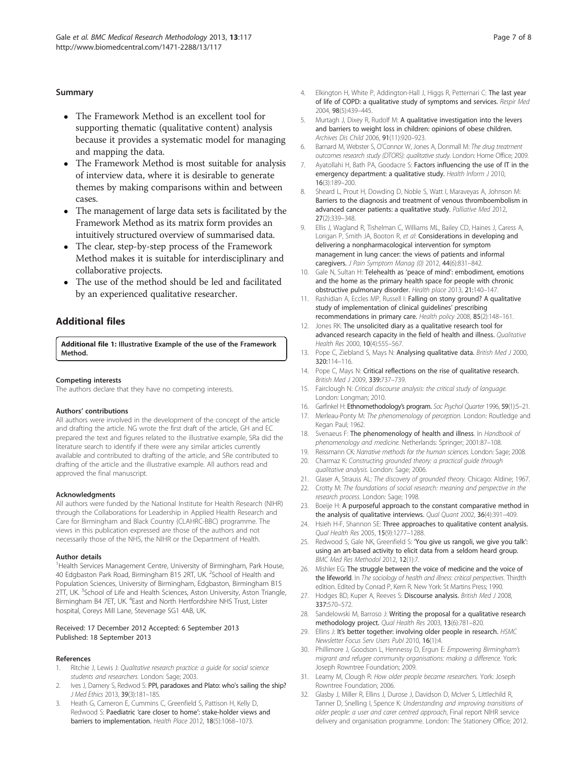#### <span id="page-6-0"></span>Summary

- The Framework Method is an excellent tool for supporting thematic (qualitative content) analysis because it provides a systematic model for managing and mapping the data.
- The Framework Method is most suitable for analysis of interview data, where it is desirable to generate themes by making comparisons within and between cases.
- The management of large data sets is facilitated by the Framework Method as its matrix form provides an intuitively structured overview of summarised data.
- The clear, step-by-step process of the Framework Method makes it is suitable for interdisciplinary and collaborative projects.
- The use of the method should be led and facilitated by an experienced qualitative researcher.

## Additional files

[Additional file 1:](http://www.biomedcentral.com/content/supplementary/1471-2288-13-117-S1.docx) Illustrative Example of the use of the Framework Method.

#### Competing interests

The authors declare that they have no competing interests.

#### Authors' contributions

All authors were involved in the development of the concept of the article and drafting the article. NG wrote the first draft of the article, GH and EC prepared the text and figures related to the illustrative example, SRa did the literature search to identify if there were any similar articles currently available and contributed to drafting of the article, and SRe contributed to drafting of the article and the illustrative example. All authors read and approved the final manuscript.

#### **Acknowledaments**

All authors were funded by the National Institute for Health Research (NIHR) through the Collaborations for Leadership in Applied Health Research and Care for Birmingham and Black Country (CLAHRC-BBC) programme. The views in this publication expressed are those of the authors and not necessarily those of the NHS, the NIHR or the Department of Health.

#### Author details

<sup>1</sup>Health Services Management Centre, University of Birmingham, Park House, 40 Edgbaston Park Road, Birmingham B15 2RT, UK. <sup>2</sup>School of Health and Population Sciences, University of Birmingham, Edgbaston, Birmingham B15 2TT, UK.<sup>3</sup>School of Life and Health Sciences, Aston University, Aston Triangle, Birmingham B4 7ET, UK. <sup>4</sup>East and North Hertfordshire NHS Trust, Lister hospital, Coreys Mill Lane, Stevenage SG1 4AB, UK.

#### Received: 17 December 2012 Accepted: 6 September 2013 Published: 18 September 2013

#### References

- Ritchie J, Lewis J: Qualitative research practice: a guide for social science students and researchers. London: Sage; 2003.
- 2. Ives J, Damery S, Redwod S: PPI, paradoxes and Plato: who's sailing the ship? J Med Ethics 2013, 39(3):181–185.
- 3. Heath G, Cameron E, Cummins C, Greenfield S, Pattison H, Kelly D, Redwood S: Paediatric 'care closer to home': stake-holder views and barriers to implementation. Health Place 2012, 18(5):1068–1073.
- 4. Elkington H, White P, Addington-Hall J, Higgs R, Petternari C: The last year of life of COPD: a qualitative study of symptoms and services. Respir Med 2004, 98(5):439–445.
- 5. Murtagh J, Dixey R, Rudolf M: A qualitative investigation into the levers and barriers to weight loss in children: opinions of obese children. Archives Dis Child 2006, 91(11):920–923.
- 6. Barnard M, Webster S, O'Connor W, Jones A, Donmall M: The drug treatment outcomes research study (DTORS): qualitative study. London: Home Office; 2009.
- 7. Ayatollahi H, Bath PA, Goodacre S: Factors influencing the use of IT in the emergency department: a qualitative study. Health Inform J 2010, 16(3):189–200.
- 8. Sheard L, Prout H, Dowding D, Noble S, Watt I, Maraveyas A, Johnson M: Barriers to the diagnosis and treatment of venous thromboembolism in advanced cancer patients: a qualitative study. Palliative Med 2012, 27(2):339–348.
- 9. Ellis J, Wagland R, Tishelman C, Williams ML, Bailey CD, Haines J, Caress A, Lorigan P, Smith JA, Booton R, et al: Considerations in developing and delivering a nonpharmacological intervention for symptom management in lung cancer: the views of patients and informal caregivers. J Pain Symptom Manag (0) 2012, 44(6):831–842.
- 10. Gale N, Sultan H: Telehealth as 'peace of mind': embodiment, emotions and the home as the primary health space for people with chronic obstructive pulmonary disorder. Health place 2013, 21:140–147.
- 11. Rashidian A, Eccles MP, Russell I: Falling on stony ground? A qualitative study of implementation of clinical guidelines' prescribing recommendations in primary care. Health policy 2008, 85(2):148–161.
- 12. Jones RK: The unsolicited diary as a qualitative research tool for advanced research capacity in the field of health and illness. Qualitative Health Res 2000, 10(4):555–567.
- 13. Pope C, Ziebland S, Mays N: Analysing qualitative data. British Med J 2000, 320:114–116.
- 14. Pope C, Mays N: Critical reflections on the rise of qualitative research. British Med J 2009, 339:737–739.
- 15. Fairclough N: Critical discourse analysis: the critical study of language. London: Longman; 2010.
- 16. Garfinkel H: Ethnomethodology's program. Soc Psychol Quarter 1996, 59(1):5-21.
- 17. Merleau-Ponty M: The phenomenology of perception. London: Routledge and Kegan Paul; 1962.
- 18. Svenaeus F: The phenomenology of health and illness. In Handbook of phenomenology and medicine. Netherlands: Springer; 2001:87–108.
- 19. Reissmann CK: Narrative methods for the human sciences. London: Sage; 2008.
- 20. Charmaz K: Constructing grounded theory: a practical guide through qualitative analysis. London: Sage; 2006.
- 21. Glaser A, Strauss AL: The discovery of grounded theory. Chicago: Aldine; 1967.
- 22. Crotty M: The foundations of social research: meaning and perspective in the research process. London: Sage; 1998.
- 23. Boeije H: A purposeful approach to the constant comparative method in the analysis of qualitative interviews. Qual Quant 2002, 36(4):391-409.
- 24. Hsieh H-F, Shannon SE: Three approaches to qualitative content analysis. Qual Health Res 2005, 15(9):1277–1288.
- 25. Redwood S, Gale NK, Greenfield S: 'You give us rangoli, we give you talk': using an art-based activity to elicit data from a seldom heard group. BMC Med Res Methodol 2012, 12(1):7.
- 26. Mishler EG: The struggle between the voice of medicine and the voice of the lifeworld. In The sociology of health and illness: critical perspectives. Thirdth edition. Edited by Conrad P, Kern R. New York: St Martins Press; 1990.
- 27. Hodges BD, Kuper A, Reeves S: Discourse analysis. British Med J 2008, 337:570–572.
- 28. Sandelowski M, Barroso J: Writing the proposal for a qualitative research methodology project. Qual Health Res 2003, 13(6):781–820.
- 29. Ellins J: It's better together: involving older people in research. HSMC Newsletter Focus Serv Users Publ 2010, 16(1):4.
- 30. Phillimore J, Goodson L, Hennessy D, Ergun E: Empowering Birmingham's migrant and refugee community organisations: making a difference. York: Joseph Rowntree Foundation; 2009.
- 31. Leamy M, Clough R: How older people became researchers. York: Joseph Rowntree Foundation; 2006.
- 32. Glasby J, Miller R, Ellins J, Durose J, Davidson D, McIver S, Littlechild R, Tanner D, Snelling I, Spence K: Understanding and improving transitions of older people: a user and carer centred approach, Final report NIHR service delivery and organisation programme. London: The Stationery Office; 2012.